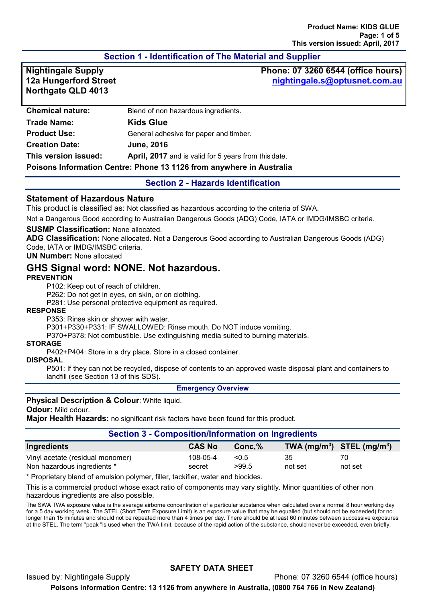# **Section 1 - Identification of The Material and Supplier**

**12a Hungerford Street Northgate QLD 4013**

**Nightingale Supply Phone: 07 3260 6544 (office hours) [nightingale.s@optusnet.com.au](mailto:nightingale.s@optusnet.com.au)**

| <b>Chemical nature:</b>                                              | Blend of non hazardous ingredients.                  |
|----------------------------------------------------------------------|------------------------------------------------------|
| <b>Trade Name:</b>                                                   | <b>Kids Glue</b>                                     |
| <b>Product Use:</b>                                                  | General adhesive for paper and timber.               |
| <b>Creation Date:</b>                                                | <b>June, 2016</b>                                    |
| This version issued:                                                 | April, 2017 and is valid for 5 years from this date. |
| Poisons Information Centre: Phone 13 1126 from anywhere in Australia |                                                      |

#### **Section 2 - Hazards Identification**

#### **Statement of Hazardous Nature**

This product is classified as: Not classified as hazardous according to the criteria of SWA.

Not a Dangerous Good according to Australian Dangerous Goods (ADG) Code, IATA or IMDG/IMSBC criteria.

#### **SUSMP Classification:** None allocated.

**ADG Classification:** None allocated. Not a Dangerous Good according to Australian Dangerous Goods (ADG) Code, IATA or IMDG/IMSBC criteria.

### **UN Number:** None allocated

# **GHS Signal word: NONE. Not hazardous.**

#### **PREVENTION**

P102: Keep out of reach of children.

P262: Do not get in eyes, on skin, or on clothing.

P281: Use personal protective equipment as required.

#### **RESPONSE**

P353: Rinse skin or shower with water.

P301+P330+P331: IF SWALLOWED: Rinse mouth. Do NOT induce vomiting.

P370+P378: Not combustible. Use extinguishing media suited to burning materials.

#### **STORAGE**

P402+P404: Store in a dry place. Store in a closed container.

#### **DISPOSAL**

P501: If they can not be recycled, dispose of contents to an approved waste disposal plant and containers to landfill (see Section 13 of this SDS).

#### **Emergency Overview**

#### **Physical Description & Colour**: White liquid.

#### **Odour:** Mild odour.

**Major Health Hazards:** no significant risk factors have been found for this product.

### **Section 3 - Composition/Information on Ingredients**

| Ingredients                      | <b>CAS No</b> | $Conc.\%$ | TWA $(mg/m^3)$ STEL $(mg/m^3)$ |         |
|----------------------------------|---------------|-----------|--------------------------------|---------|
| Vinyl acetate (residual monomer) | 108-05-4      | < 0.5     | 35                             | 70      |
| Non hazardous ingredients *      | secret        | >99.5     | not set                        | not set |

\* Proprietary blend of emulsion polymer, filler, tackifier, water and biocides.

This is a commercial product whose exact ratio of components may vary slightly. Minor quantities of other non hazardous ingredients are also possible.

The SWA TWA exposure value is the average airborne concentration of a particular substance when calculated over a normal 8 hour working day for a 5 day working week. The STEL (Short Term Exposure Limit) is an exposure value that may be equalled (but should not be exceeded) for no longer than 15 minutes and should not be repeated more than 4 times per day. There should be at least 60 minutes between successive exposures at the STEL. The term "peak "is used when the TWA limit, because of the rapid action of the substance, should never be exceeded, even briefly.

Issued by: Nightingale Supply Phone: 07 3260 6544 (office hours)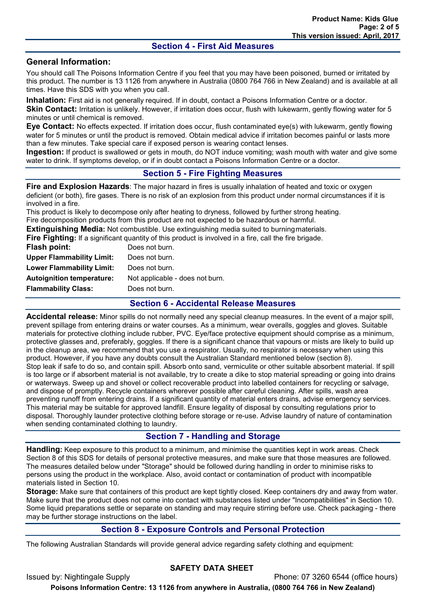#### **Section 4 - First Aid Measures**

# **General Information:**

You should call The Poisons Information Centre if you feel that you may have been poisoned, burned or irritated by this product. The number is 13 1126 from anywhere in Australia (0800 764 766 in New Zealand) and is available at all times. Have this SDS with you when you call.

**Inhalation:** First aid is not generally required. If in doubt, contact a Poisons Information Centre or a doctor. **Skin Contact:** Irritation is unlikely. However, if irritation does occur, flush with lukewarm, gently flowing water for 5

minutes or until chemical is removed.

**Eye Contact:** No effects expected. If irritation does occur, flush contaminated eye(s) with lukewarm, gently flowing water for 5 minutes or until the product is removed. Obtain medical advice if irritation becomes painful or lasts more than a few minutes. Take special care if exposed person is wearing contact lenses.

**Ingestion:** If product is swallowed or gets in mouth, do NOT induce vomiting; wash mouth with water and give some water to drink. If symptoms develop, or if in doubt contact a Poisons Information Centre or a doctor.

### **Section 5 - Fire Fighting Measures**

**Fire and Explosion Hazards**: The major hazard in fires is usually inhalation of heated and toxic or oxygen deficient (or both), fire gases. There is no risk of an explosion from this product under normal circumstances if it is involved in a fire.

This product is likely to decompose only after heating to dryness, followed by further strong heating. Fire decomposition products from this product are not expected to be hazardous or harmful.

**Extinguishing Media:** Not combustible. Use extinguishing media suited to burningmaterials.

**Fire Fighting:** If a significant quantity of this product is involved in a fire, call the fire brigade.

| Flash point:                     | Does not burn.                  |
|----------------------------------|---------------------------------|
| <b>Upper Flammability Limit:</b> | Does not burn.                  |
| <b>Lower Flammability Limit:</b> | Does not burn.                  |
| <b>Autoignition temperature:</b> | Not applicable - does not burn. |
| <b>Flammability Class:</b>       | Does not burn.                  |
|                                  |                                 |

#### **Section 6 - Accidental Release Measures**

**Accidental release:** Minor spills do not normally need any special cleanup measures. In the event of a major spill, prevent spillage from entering drains or water courses. As a minimum, wear overalls, goggles and gloves. Suitable materials for protective clothing include rubber, PVC. Eye/face protective equipment should comprise as a minimum, protective glasses and, preferably, goggles. If there is a significant chance that vapours or mists are likely to build up in the cleanup area, we recommend that you use a respirator. Usually, no respirator is necessary when using this product. However, if you have any doubts consult the Australian Standard mentioned below (section 8). Stop leak if safe to do so, and contain spill. Absorb onto sand, vermiculite or other suitable absorbent material. If spill is too large or if absorbent material is not available, try to create a dike to stop material spreading or going into drains or waterways. Sweep up and shovel or collect recoverable product into labelled containers for recycling or salvage, and dispose of promptly. Recycle containers wherever possible after careful cleaning. After spills, wash area preventing runoff from entering drains. If a significant quantity of material enters drains, advise emergency services. This material may be suitable for approved landfill. Ensure legality of disposal by consulting regulations prior to disposal. Thoroughly launder protective clothing before storage or re-use. Advise laundry of nature of contamination when sending contaminated clothing to laundry.

# **Section 7 - Handling and Storage**

**Handling:** Keep exposure to this product to a minimum, and minimise the quantities kept in work areas. Check Section 8 of this SDS for details of personal protective measures, and make sure that those measures are followed. The measures detailed below under "Storage" should be followed during handling in order to minimise risks to persons using the product in the workplace. Also, avoid contact or contamination of product with incompatible materials listed in Section 10.

**Storage:** Make sure that containers of this product are kept tightly closed. Keep containers dry and away from water. Make sure that the product does not come into contact with substances listed under "Incompatibilities" in Section 10. Some liquid preparations settle or separate on standing and may require stirring before use. Check packaging - there may be further storage instructions on the label.

### **Section 8 - Exposure Controls and Personal Protection**

The following Australian Standards will provide general advice regarding safety clothing and equipment:

### **SAFETY DATA SHEET**

Issued by: Nightingale Supply Phone: 07 3260 6544 (office hours)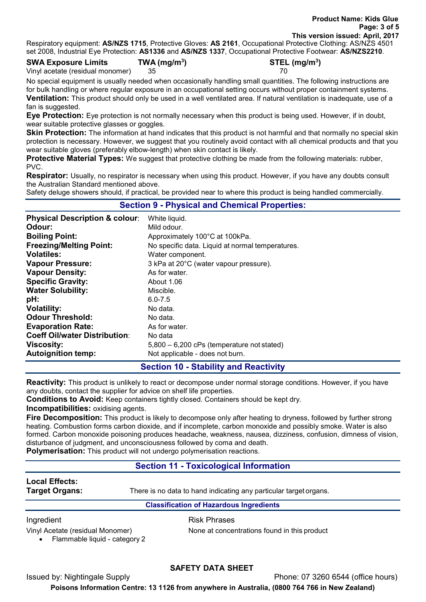Respiratory equipment: **AS/NZS 1715**, Protective Gloves: **AS 2161**, Occupational Protective Clothing: AS/NZS 4501 set 2008, Industrial Eye Protection: **AS1336** and **AS/NZS 1337**, Occupational Protective Footwear: **AS/NZS2210**.

**SWA Exposure Limits TWA (mg/m3**

| <b>10.1120 100.</b> , 000apational 10.00th 0100.1 |
|---------------------------------------------------|
| $STEL$ (mg/m <sup>3</sup> )                       |
|                                                   |

Vinyl acetate (residual monomer) 35 70

No special equipment is usually needed when occasionally handling small quantities. The following instructions are for bulk handling or where regular exposure in an occupational setting occurs without proper containment systems. **Ventilation:** This product should only be used in a well ventilated area. If natural ventilation is inadequate, use of a fan is suggested.

**Eye Protection:** Eye protection is not normally necessary when this product is being used. However, if in doubt, wear suitable protective glasses or goggles.

**Skin Protection:** The information at hand indicates that this product is not harmful and that normally no special skin protection is necessary. However, we suggest that you routinely avoid contact with all chemical products and that you wear suitable gloves (preferably elbow-length) when skin contact is likely.

**Protective Material Types:** We suggest that protective clothing be made from the following materials: rubber, PVC.

**Respirator:** Usually, no respirator is necessary when using this product. However, if you have any doubts consult the Australian Standard mentioned above.

Safety deluge showers should, if practical, be provided near to where this product is being handled commercially.

| <b>Physical Description &amp; colour:</b> | White liquid.                                    |
|-------------------------------------------|--------------------------------------------------|
| Odour:                                    | Mild odour.                                      |
| <b>Boiling Point:</b>                     | Approximately 100°C at 100kPa.                   |
| <b>Freezing/Melting Point:</b>            | No specific data. Liquid at normal temperatures. |
| <b>Volatiles:</b>                         | Water component.                                 |
| <b>Vapour Pressure:</b>                   | 3 kPa at 20°C (water vapour pressure).           |
| <b>Vapour Density:</b>                    | As for water.                                    |
| <b>Specific Gravity:</b>                  | About 1.06                                       |
| <b>Water Solubility:</b>                  | Miscible.                                        |
| pH:                                       | $6.0 - 7.5$                                      |
| <b>Volatility:</b>                        | No data.                                         |
| <b>Odour Threshold:</b>                   | No data.                                         |
| <b>Evaporation Rate:</b>                  | As for water.                                    |
| <b>Coeff Oil/water Distribution:</b>      | No data                                          |
| <b>Viscosity:</b>                         | $5,800 - 6,200$ cPs (temperature not stated)     |
| <b>Autoignition temp:</b>                 | Not applicable - does not burn.                  |

# **Section 10 - Stability and Reactivity**

**Reactivity:** This product is unlikely to react or decompose under normal storage conditions. However, if you have any doubts, contact the supplier for advice on shelf life properties.

**Conditions to Avoid:** Keep containers tightly closed. Containers should be kept dry.

**Incompatibilities:** oxidising agents.

**Fire Decomposition:** This product is likely to decompose only after heating to dryness, followed by further strong heating. Combustion forms carbon dioxide, and if incomplete, carbon monoxide and possibly smoke. Water is also formed. Carbon monoxide poisoning produces headache, weakness, nausea, dizziness, confusion, dimness of vision, disturbance of judgment, and unconsciousness followed by coma and death.

**Polymerisation:** This product will not undergo polymerisation reactions.

# **Section 11 - Toxicological Information**

# **Local Effects:**

**Target Organs:** There is no data to hand indicating any particular target organs.

### **Classification of Hazardous Ingredients**

Ingredient **Risk Phrases** 

• Flammable liquid - category 2

Vinyl Acetate (residual Monomer) None at concentrations found in this product

# **SAFETY DATA SHEET**

Issued by: Nightingale Supply Phone: 07 3260 6544 (office hours)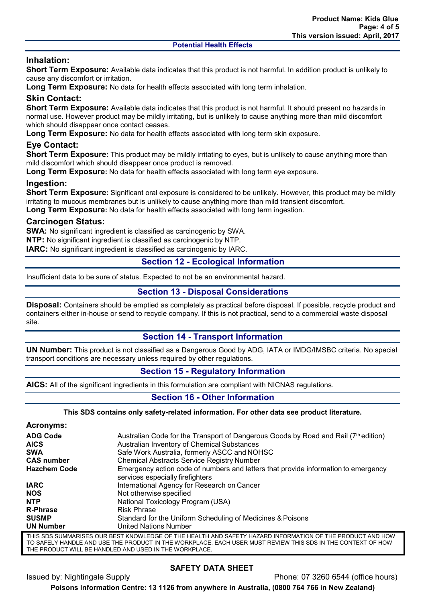# **Inhalation:**

**Short Term Exposure:** Available data indicates that this product is not harmful. In addition product is unlikely to cause any discomfort or irritation.

**Long Term Exposure:** No data for health effects associated with long term inhalation.

# **Skin Contact:**

**Short Term Exposure:** Available data indicates that this product is not harmful. It should present no hazards in normal use. However product may be mildly irritating, but is unlikely to cause anything more than mild discomfort which should disappear once contact ceases.

**Long Term Exposure:** No data for health effects associated with long term skin exposure.

# **Eye Contact:**

**Short Term Exposure:** This product may be mildly irritating to eyes, but is unlikely to cause anything more than mild discomfort which should disappear once product is removed.

**Long Term Exposure:** No data for health effects associated with long term eye exposure.

#### **Ingestion:**

**Short Term Exposure:** Significant oral exposure is considered to be unlikely. However, this product may be mildly irritating to mucous membranes but is unlikely to cause anything more than mild transient discomfort.

**Long Term Exposure:** No data for health effects associated with long term ingestion.

#### **Carcinogen Status:**

**SWA:** No significant ingredient is classified as carcinogenic by SWA.

**NTP:** No significant ingredient is classified as carcinogenic by NTP.

**IARC:** No significant ingredient is classified as carcinogenic by IARC.

### **Section 12 - Ecological Information**

Insufficient data to be sure of status. Expected to not be an environmental hazard.

### **Section 13 - Disposal Considerations**

**Disposal:** Containers should be emptied as completely as practical before disposal. If possible, recycle product and containers either in-house or send to recycle company. If this is not practical, send to a commercial waste disposal site.

### **Section 14 - Transport Information**

**UN Number:** This product is not classified as a Dangerous Good by ADG, IATA or IMDG/IMSBC criteria. No special transport conditions are necessary unless required by other regulations.

### **Section 15 - Regulatory Information**

**AICS:** All of the significant ingredients in this formulation are compliant with NICNAS regulations.

### **Section 16 - Other Information**

#### **This SDS contains only safety-related information. For other data see product literature.**

| Acronyms:           |                                                                                                                        |
|---------------------|------------------------------------------------------------------------------------------------------------------------|
| <b>ADG Code</b>     | Australian Code for the Transport of Dangerous Goods by Road and Rail (7th edition)                                    |
| <b>AICS</b>         | Australian Inventory of Chemical Substances                                                                            |
| <b>SWA</b>          | Safe Work Australia, formerly ASCC and NOHSC                                                                           |
| <b>CAS number</b>   | <b>Chemical Abstracts Service Registry Number</b>                                                                      |
| <b>Hazchem Code</b> | Emergency action code of numbers and letters that provide information to emergency<br>services especially firefighters |
| <b>IARC</b>         | International Agency for Research on Cancer                                                                            |
| <b>NOS</b>          | Not otherwise specified                                                                                                |
| <b>NTP</b>          | National Toxicology Program (USA)                                                                                      |
| <b>R-Phrase</b>     | <b>Risk Phrase</b>                                                                                                     |
| <b>SUSMP</b>        | Standard for the Uniform Scheduling of Medicines & Poisons                                                             |
| <b>UN Number</b>    | <b>United Nations Number</b>                                                                                           |
|                     |                                                                                                                        |

THIS SDS SUMMARISES OUR BEST KNOWLEDGE OF THE HEALTH AND SAFETY HAZARD INFORMATION OF THE PRODUCT AND HOW TO SAFELY HANDLE AND USE THE PRODUCT IN THE WORKPLACE. EACH USER MUST REVIEW THIS SDS IN THE CONTEXT OF HOW THE PRODUCT WILL BE HANDLED AND USED IN THE WORKPLACE.

### **SAFETY DATA SHEET**

Issued by: Nightingale Supply **Phone: 07 3260 6544** (office hours)